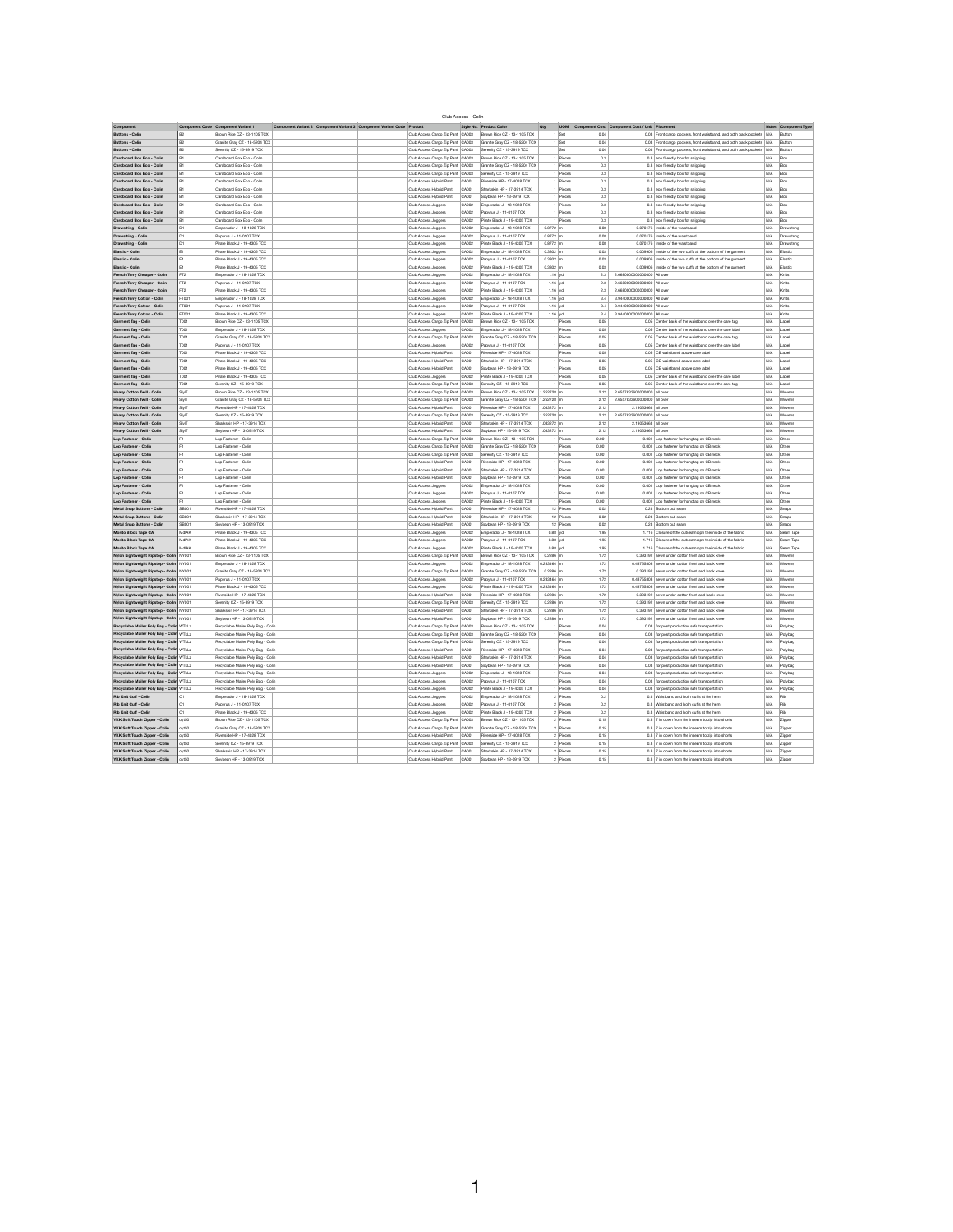| Club Access - Colin |  |
|---------------------|--|
|---------------------|--|

| Component                                                                            |                 | <b>Component Code   Component Variant 1</b>                              | Component Variant 2 Component Variant 3 Component Variant Code Product |                                                               |                | Style No. Product Color                                     | Qty                             | <b>UOM</b>               |              | Component Cost Component Cost / Unit Placement                                                              |            | <b>Notes Component Type</b> |
|--------------------------------------------------------------------------------------|-----------------|--------------------------------------------------------------------------|------------------------------------------------------------------------|---------------------------------------------------------------|----------------|-------------------------------------------------------------|---------------------------------|--------------------------|--------------|-------------------------------------------------------------------------------------------------------------|------------|-----------------------------|
| <b>Buttons - Colin</b>                                                               | <b>B2</b>       | Brown Rice CZ - 13-1105 TCX                                              |                                                                        | Club Access Cargo Zip Pant   CA003                            |                | Brown Rice CZ - 13-1105 TCX                                 |                                 | Set                      | 0.04         | 0.04 Front cargo pockets, front waistband, and both back pockets N/A                                        |            | Button                      |
| <b>Buttons - Colin</b>                                                               | <b>B2</b>       | Granite Gray CZ - 18-5204 TCX                                            |                                                                        | Club Access Cargo Zip Pant   CA003                            |                | Granite Gray CZ - 18-5204 TCX                               |                                 | $1$ Set                  | 0.04         | 0.04 Front cargo pockets, front waistband, and both back pockets N/A                                        |            | Button                      |
| <b>Buttons - Colin</b>                                                               | <b>B2</b>       | Serenity CZ - 15-3919 TCX                                                |                                                                        | Club Access Cargo Zip Pant   CA003                            |                | Serenity CZ - 15-3919 TCX                                   |                                 | $1$ Set                  | 0.04         | 0.04 Front cargo pockets, front waistband, and both back pockets N/A                                        |            | Button                      |
| <b>Cardboard Box Eco - Colin</b>                                                     | <b>B1</b>       | Cardboard Box Eco - Colin                                                |                                                                        | Club Access Cargo Zip Pant   CA003                            |                | Brown Rice CZ - 13-1105 TCX                                 |                                 | $1$ Pieces               | 0.3          | $0.3$ eco friendly box for shipping                                                                         | N/A        | $\overline{B}$ ox           |
| <b>Cardboard Box Eco - Colin</b>                                                     | <b>B1</b>       | Cardboard Box Eco - Colin                                                |                                                                        | Club Access Cargo Zip Pant   CA003                            |                | Granite Gray CZ - 18-5204 TCX                               |                                 | Pieces                   | 0.3          | $0.3$ eco friendly box for shipping                                                                         | N/A        | $\vert$ Box                 |
| <b>Cardboard Box Eco - Colin</b>                                                     | <b>B1</b>       | Cardboard Box Eco - Colin                                                |                                                                        | Club Access Cargo Zip Pant   CA003                            |                | Serenity CZ - 15-3919 TCX                                   |                                 | $1$ Pieces               | 0.3          | $0.3$ eco friendly box for shipping                                                                         | $N/A$ Box  |                             |
| <b>Cardboard Box Eco - Colin</b>                                                     | <b>B1</b>       | Cardboard Box Eco - Colin                                                |                                                                        | Club Access Hybrid Pant                                       | CA001          | Riverside HP - 17-4028 TCX                                  |                                 | $1$ Pieces               | 0.3          | $0.3$ eco friendly box for shipping                                                                         | $N/A$ Box  |                             |
| <b>Cardboard Box Eco - Colin</b>                                                     | <b>B1</b>       | Cardboard Box Eco - Colin                                                |                                                                        | Club Access Hybrid Pant                                       | CA001          | Sharkskin HP - 17-3914 TCX                                  |                                 | $1$ Pieces               | 0.3          | $0.3$ eco friendly box for shipping                                                                         | N/A        | $\vert$ Box                 |
| <b>Cardboard Box Eco - Colin</b>                                                     | <b>B1</b>       | Cardboard Box Eco - Colin                                                |                                                                        | Club Access Hybrid Pant                                       | CA001          | Soybean HP - 13-0919 TCX                                    |                                 | $1$ Pieces               | 0.3          | $0.3$ eco friendly box for shipping                                                                         | N/A        | $\vert$ Box                 |
| <b>Cardboard Box Eco - Colin</b>                                                     | <b>B1</b>       | Cardboard Box Eco - Colin                                                |                                                                        | Club Access Joggers                                           | CA002          | Emperador J - 18-1028 TCX                                   |                                 | $1$ Pieces               | 0.3          | $0.3$ eco friendly box for shipping                                                                         | N/A        | Box                         |
| <b>Cardboard Box Eco - Colin</b>                                                     | <b>B1</b>       | Cardboard Box Eco - Colin                                                |                                                                        | <b>Club Access Joggers</b>                                    | CA002          | Papyrus J - 11-0107 TCX                                     |                                 | $1$ Pieces               | 0.3          | $0.3$ eco friendly box for shipping                                                                         | N/A        | $\vert$ Box                 |
| <b>Cardboard Box Eco - Colin</b>                                                     | <b>B1</b>       | Cardboard Box Eco - Colin                                                |                                                                        | Club Access Joggers                                           | CA002          | Pirate Black J - 19-4305 TCX                                |                                 | 1 Pieces                 | 0.3          | $0.3$ eco friendly box for shipping                                                                         | N/A        | Box                         |
| <b>Drawstring - Colin</b>                                                            | D1              | Emperador J - 18-1028 TCX                                                |                                                                        | Club Access Joggers                                           | CA002          | Emperador J - 18-1028 TCX                                   | $0.8772$ m                      |                          | 0.08         | 0.070176   Inside of the waistband                                                                          | N/A        | Drawstring                  |
| <b>Drawstring - Colin</b>                                                            | D <sub>1</sub>  | Papyrus J - 11-0107 TCX                                                  |                                                                        | <b>Club Access Joggers</b>                                    | CA002          | Papyrus J - 11-0107 TCX                                     | $0.8772 \mid m$                 |                          | 0.08         | 0.070176   Inside of the waistband                                                                          | N/A        | Drawstring                  |
| <b>Drawstring - Colin</b>                                                            | D <sub>1</sub>  | Pirate Black J - 19-4305 TCX                                             |                                                                        | Club Access Joggers                                           | CA002          | Pirate Black J - 19-4305 TCX                                | $0.8772 \mid m$                 |                          | 0.08         | 0.070176   Inside of the waistband                                                                          | N/A        | Drawstring                  |
| <b>Elastic - Colin</b>                                                               | E1.             | Pirate Black J - 19-4305 TCX                                             |                                                                        | Club Access Joggers                                           | CA002          | Emperador J - 18-1028 TCX                                   | $0.3302 \mid m$                 |                          | 0.03         | 0.009906   Inside of the two cuffs at the bottom of the garment                                             |            | N/A Elastic                 |
| <b>Elastic - Colin</b><br><b>Elastic - Colin</b>                                     | E1              | Pirate Black J - 19-4305 TCX<br>Pirate Black J - 19-4305 TCX             |                                                                        | <b>Club Access Joggers</b>                                    | CA002          | Papyrus J - 11-0107 TCX                                     | $0.3302 \mid m$                 |                          | 0.03         | 0.009906   Inside of the two cuffs at the bottom of the garment                                             | N/A        | Elastic                     |
| <b>French Terry Cheaper - Colin</b>                                                  | FT <sub>2</sub> | Emperador J - 18-1028 TCX                                                |                                                                        | Club Access Joggers<br>Club Access Joggers                    | CA002<br>CA002 | Pirate Black J - 19-4305 TCX<br>Emperador J - 18-1028 TCX   | $0.3302 \mid m$                 | 1.16 $yd$                | 0.03<br>2.3  | 0.009906   Inside of the two cuffs at the bottom of the garment<br>2.6680000000000000 All over              | N/A<br>N/A | Elastic<br>$ $ Knits        |
| <b>French Terry Cheaper - Colin</b>                                                  | FT <sub>2</sub> | Papyrus J - 11-0107 TCX                                                  |                                                                        | Club Access Joggers                                           | CA002          | Papyrus J - 11-0107 TCX                                     |                                 | $1.16$ yd                | 2.3          | 2.6680000000000000 All over                                                                                 | N/A        | Knits                       |
| <b>French Terry Cheaper - Colin</b>                                                  | FT <sub>2</sub> | Pirate Black J - 19-4305 TCX                                             |                                                                        | Club Access Joggers                                           | CA002          | Pirate Black J - 19-4305 TCX                                |                                 | 1.16 $yd$                | 2.3          | 2.6680000000000000 All over                                                                                 |            | N/A Knits                   |
| French Terry Cotton - Colin                                                          | FT001           | Emperador J - 18-1028 TCX                                                |                                                                        | Club Access Joggers                                           | CA002          | Emperador J - 18-1028 TCX                                   |                                 | $1.16$ yd                | 3.4          | 3.9440000000000000 All over                                                                                 | N/A        | Knits                       |
| <b>French Terry Cotton - Colin</b>                                                   | FT001           | Papyrus J - 11-0107 TCX                                                  |                                                                        | Club Access Joggers                                           | CA002          | Papyrus J - 11-0107 TCX                                     |                                 | 1.16   yd                | 3.4          | 3.9440000000000000 All over                                                                                 | N/A        | Knits                       |
| <b>French Terry Cotton - Colin</b>                                                   | FT001           | Pirate Black J - 19-4305 TCX                                             |                                                                        | Club Access Joggers                                           | CA002          | Pirate Black J - 19-4305 TCX                                |                                 | 1.16   yd                | 3.4          | 3.9440000000000000 All over                                                                                 | N/A        | Knits                       |
| <b>Garment Tag - Colin</b>                                                           | T001            | Brown Rice CZ - 13-1105 TCX                                              |                                                                        | Club Access Cargo Zip Pant   CA003                            |                | Brown Rice CZ - 13-1105 TCX                                 |                                 | 1 Pieces                 | 0.05         | 0.05 Center back of the waistband over the care tag                                                         |            | $N/A$   Label               |
| <b>Garment Tag - Colin</b>                                                           | T001            | Emperador J - 18-1028 TCX                                                |                                                                        | Club Access Joggers                                           | CA002          | Emperador J - 18-1028 TCX                                   |                                 | $1$ Pieces               | 0.05         | 0.05 Center back of the waistband over the care label                                                       |            | N/A Label                   |
| <b>Garment Tag - Colin</b>                                                           | T001            | Granite Gray CZ - 18-5204 TCX                                            |                                                                        | Club Access Cargo Zip Pant   CA003                            |                | Granite Gray CZ - 18-5204 TCX                               |                                 | $1$ Pieces               | 0.05         | 0.05 Center back of the waistband over the care tag                                                         |            | N/A Label                   |
| <b>Garment Tag - Colin</b>                                                           | T001            | Papyrus J - 11-0107 TCX                                                  |                                                                        | Club Access Joggers                                           | CA002          | Papyrus J - 11-0107 TCX                                     |                                 | $1$ Pieces               | 0.05         | 0.05 Center back of the waistband over the care label                                                       |            | $N/A$   Label               |
| <b>Garment Tag - Colin</b>                                                           | T001            | Pirate Black J - 19-4305 TCX                                             |                                                                        | Club Access Hybrid Pant                                       | CA001          | Riverside HP - 17-4028 TCX                                  |                                 | $1$ Pieces               | 0.05         | 0.05 CB waistband above care label                                                                          | N/A        | Label                       |
| <b>Garment Tag - Colin</b>                                                           | T001            | Pirate Black J - 19-4305 TCX                                             |                                                                        | Club Access Hybrid Pant                                       | CA001          | Sharkskin HP - 17-3914 TCX                                  |                                 | $1$ Pieces               | 0.05         | 0.05 CB waistband above care label                                                                          |            | $N/A$   Label               |
| <b>Garment Tag - Colin</b>                                                           | T001            | Pirate Black J - 19-4305 TCX                                             |                                                                        | Club Access Hybrid Pant                                       | CA001          | Soybean HP - 13-0919 TCX                                    |                                 | $1$ Pieces               | 0.05         | 0.05 CB waistband above care label                                                                          |            | $N/A$   Label               |
| <b>Garment Tag - Colin</b>                                                           | T001            | Pirate Black J - 19-4305 TCX                                             |                                                                        | Club Access Joggers                                           | CA002          | Pirate Black J - 19-4305 TCX                                |                                 | $1$ Pieces               | 0.05         | 0.05 Center back of the waistband over the care label                                                       |            | N/A Label                   |
| <b>Garment Tag - Colin</b>                                                           | T001            | Serenity CZ - 15-3919 TCX                                                |                                                                        | Club Access Cargo Zip Pant   CA003                            |                | Serenity CZ - 15-3919 TCX                                   |                                 | $1$ Pieces               | 0.05         | 0.05 Center back of the waistband over the care tag                                                         |            | $N/A$   Label               |
| <b>Heavy Cotton Twill - Colin</b>                                                    | SiylT           | Brown Rice CZ - 13-1105 TCX                                              |                                                                        | Club Access Cargo Zip Pant   CA003                            |                | Brown Rice CZ - 13-1105 TCX                                 | $1.252728 \, \rceil m$          |                          | 2.12         | 2.6557833600000000 all over                                                                                 | N/A        | Wovens                      |
| <b>Heavy Cotton Twill - Colin</b>                                                    | SiylT           | Granite Gray CZ - 18-5204 TCX                                            |                                                                        | Club Access Cargo Zip Pant   CA003                            |                | Granite Gray CZ - 18-5204 TCX   1.252728   m                |                                 |                          | 2.12         | 2.6557833600000000 all over                                                                                 | N/A        | Wovens                      |
| <b>Heavy Cotton Twill - Colin</b><br><b>Heavy Cotton Twill - Colin</b>               | SiylT<br>SiylT  | Riverside HP - 17-4028 TCX<br>Serenity CZ - 15-3919 TCX                  |                                                                        | Club Access Hybrid Pant<br>Club Access Cargo Zip Pant   CA003 | $\vert$ CA001  | Riverside HP - 17-4028 TCX<br>Serenity CZ - 15-3919 TCX     | $1.033272 \mid m$<br>1.252728 m |                          | 2.12<br>2.12 | 2.19053664 all over<br>2.6557833600000000 all over                                                          | N/A        | $N/A$ Wovens<br>Wovens      |
| <b>Heavy Cotton Twill - Colin</b>                                                    | SiylT           | Sharkskin HP - 17-3914 TCX                                               |                                                                        | Club Access Hybrid Pant                                       | CA001          | Sharkskin HP - 17-3914 TCX                                  | 1.033272 m                      |                          | 2.12         | 2.19053664 all over                                                                                         | N/A        | Wovens                      |
| <b>Heavy Cotton Twill - Colin</b>                                                    | SiylT           | Soybean HP - 13-0919 TCX                                                 |                                                                        | Club Access Hybrid Pant                                       | CA001          | Soybean HP - 13-0919 TCX                                    | $1.033272 \mid m$               |                          | 2.12         | 2.19053664 all over                                                                                         |            | N/A   Wovens                |
| Lop Fastener - Colin                                                                 | F1.             | Lop Fastener - Colin                                                     |                                                                        | Club Access Cargo Zip Pant   CA003                            |                | Brown Rice CZ - 13-1105 TCX                                 |                                 | $1$ Pieces               | 0.001        | 0.001   Lop fastener for hangtag on CB neck                                                                 |            | $N/A$ Other                 |
| <b>Lop Fastener - Colin</b>                                                          | F1              | Lop Fastener - Colin                                                     |                                                                        | Club Access Cargo Zip Pant   CA003                            |                | Granite Gray CZ - 18-5204 TCX                               |                                 | $1$ Pieces               | 0.001        | 0.001 Lop fastener for hangtag on CB neck                                                                   |            | $N/A$ Other                 |
| <b>Lop Fastener - Colin</b>                                                          | F1.             | Lop Fastener - Colin                                                     |                                                                        | Club Access Cargo Zip Pant   CA003                            |                | Serenity CZ - 15-3919 TCX                                   |                                 | $1$ Pieces               | 0.001        | 0.001 Lop fastener for hangtag on CB neck                                                                   |            | $N/A$ Other                 |
| Lop Fastener - Colin                                                                 |                 | Lop Fastener - Colin                                                     |                                                                        | Club Access Hybrid Pant                                       | CA001          | Riverside HP - 17-4028 TCX                                  |                                 | $1$ Pieces               | 0.001        | 0.001 Lop fastener for hangtag on CB neck                                                                   | N/A        | Other                       |
| Lop Fastener - Colin                                                                 |                 | Lop Fastener - Colin                                                     |                                                                        | Club Access Hybrid Pant                                       | CA001          | Sharkskin HP - 17-3914 TCX                                  |                                 | 0.001<br>Pieces          |              | 0.001   Lop fastener for hangtag on CB neck                                                                 | N/A        | Other                       |
| Lop Fastener - Colin                                                                 | F1.             | Lop Fastener - Colin                                                     |                                                                        | Club Access Hybrid Pant                                       | CA001          | Soybean HP - 13-0919 TCX                                    |                                 | $1$ Pieces               | 0.001        | 0.001 Lop fastener for hangtag on CB neck                                                                   |            | $N/A$ Other                 |
| Lop Fastener - Colin                                                                 | F1.             | Lop Fastener - Colin                                                     |                                                                        | Club Access Joggers                                           | CA002          | Emperador J - 18-1028 TCX                                   |                                 | $1$ Pieces               | 0.001        | 0.001 Lop fastener for hangtag on CB neck                                                                   |            | $N/A$ Other                 |
| Lop Fastener - Colin                                                                 | F1.             | Lop Fastener - Colin                                                     |                                                                        | Club Access Joggers                                           | CA002          | Papyrus J - 11-0107 TCX                                     |                                 | $1$ Pieces               | 0.001        | 0.001 Lop fastener for hangtag on CB neck                                                                   |            | $N/A$ Other                 |
| Lop Fastener - Colin                                                                 | F1.             | Lop Fastener - Colin                                                     |                                                                        | Club Access Joggers                                           | CA002          | Pirate Black J - 19-4305 TCX                                |                                 | $1$ Pieces               | 0.001        | 0.001   Lop fastener for hangtag on CB neck                                                                 |            | $N/A$ Other                 |
| <b>Metal Snap Buttons - Colin</b>                                                    | SB001           | Riverside HP - 17-4028 TCX                                               |                                                                        | Club Access Hybrid Pant                                       | CA001          | Riverside HP - 17-4028 TCX                                  |                                 | $12$ Pieces              | 0.02         | 0.24 Bottom out seam                                                                                        | N/A        | Snaps                       |
| <b>Metal Snap Buttons - Colin</b>                                                    | SB001           | Sharkskin HP - 17-3914 TCX                                               |                                                                        | Club Access Hybrid Pant                                       | CA001          | Sharkskin HP - 17-3914 TCX                                  |                                 | $12$ Pieces              | 0.02         | 0.24   Bottom out seam                                                                                      |            | $N/A$ Snaps                 |
| <b>Metal Snap Buttons - Colin</b>                                                    | SB001           | Soybean HP - 13-0919 TCX                                                 |                                                                        | Club Access Hybrid Pant                                       | CA001          | Soybean HP - 13-0919 TCX                                    |                                 | 12 Pieces                | 0.02         | 0.24 Bottom out seam                                                                                        |            | N/A Snaps                   |
| <b>Morito Block Tape CA</b>                                                          | MdIAK           | Pirate Black J - 19-4305 TCX                                             |                                                                        | Club Access Joggers                                           | CA002          | Emperador J - 18-1028 TCX                                   |                                 | $0.88 \vert yd$          | 1.95         | 1.716 Closure of the outseam opn the inside of the fabric                                                   | N/A        | Seam Tape                   |
| <b>Morito Block Tape CA</b>                                                          | MdIAK           | Pirate Black J - 19-4305 TCX                                             |                                                                        | Club Access Joggers                                           | CA002          | Papyrus J - 11-0107 TCX                                     |                                 | $0.88$   yd              | 1.95         | 1.716 Closure of the outseam opn the inside of the fabric                                                   |            | $N/A$   Seam Tape           |
| <b>Morito Block Tape CA</b>                                                          | MdIAK<br>NY001  | Pirate Black J - 19-4305 TCX<br>Brown Rice CZ - 13-1105 TCX              |                                                                        | Club Access Joggers                                           | CA002<br>CA003 | Pirate Black J - 19-4305 TCX<br>Brown Rice CZ - 13-1105 TCX | $0.2286 \, \vert m$             | 0.88   yd                | 1.95<br>1.72 | 1.716 Closure of the outseam opn the inside of the fabric<br>0.393192 sewn under cotton front and back knee | N/A        | $N/A$ Seam Tape<br>Wovens   |
| Nylon Lightweight Ripstop - Colin<br>Nylon Lightweight Ripstop - Colin   NY001       |                 | Emperador J - 18-1028 TCX                                                |                                                                        | Club Access Cargo Zip Pant<br>Club Access Joggers             | CA002          | Emperador J - 18-1028 TCX                                   | $0.283464 \mid m$               |                          | 1.72         | 0.48755808 sewn under cotton front and back knee                                                            |            | $N/A$ Wovens                |
| Nylon Lightweight Ripstop - Colin   NY001                                            |                 | Granite Gray CZ - 18-5204 TCX                                            |                                                                        | Club Access Cargo Zip Pant                                    | $\vert$ CA003  | Granite Gray CZ - 18-5204 TCX                               | $0.2286$ m                      |                          | 1.72         | 0.393192 sewn under cotton front and back knee                                                              | N/A        | Wovens                      |
| Nylon Lightweight Ripstop - Colin   NY001                                            |                 | Papyrus J - 11-0107 TCX                                                  |                                                                        | Club Access Joggers                                           | CA002          | Papyrus J - 11-0107 TCX                                     | $0.283464 \mid m$               |                          | 1.72         | 0.48755808 sewn under cotton front and back knee                                                            | N/A        | Wovens                      |
| Nylon Lightweight Ripstop - Colin   NY001                                            |                 | Pirate Black J - 19-4305 TCX                                             |                                                                        | Club Access Joggers                                           | CA002          | Pirate Black J - 19-4305 TCX                                | $0.283464 \mid m$               |                          | 1.72         | 0.48755808 sewn under cotton front and back knee                                                            |            | $N/A$ Wovens                |
| Nylon Lightweight Ripstop - Colin   NY001                                            |                 | Riverside HP - 17-4028 TCX                                               |                                                                        | Club Access Hybrid Pant                                       | CA001          | Riverside HP - 17-4028 TCX                                  | $0.2286 \mid m$                 |                          | 1.72         | 0.393192 sewn under cotton front and back knee                                                              | N/A        | Wovens                      |
| Nylon Lightweight Ripstop - Colin   NY001                                            |                 | Serenity CZ - 15-3919 TCX                                                |                                                                        | Club Access Cargo Zip Pant   CA003                            |                | Serenity CZ - 15-3919 TCX                                   | $0.2286 \, \vert m$             |                          | 1.72         | 0.393192 sewn under cotton front and back knee                                                              |            | $N/A$ Wovens                |
| Nylon Lightweight Ripstop - Colin   NY001                                            |                 | Sharkskin HP - 17-3914 TCX                                               |                                                                        | Club Access Hybrid Pant                                       | CA001          | Sharkskin HP - 17-3914 TCX                                  | $0.2286$ m                      |                          | 1.72         | 0.393192 sewn under cotton front and back knee                                                              |            | $N/A$ Wovens                |
| Nylon Lightweight Ripstop - Colin   NY001                                            |                 | Soybean HP - 13-0919 TCX                                                 |                                                                        | Club Access Hybrid Pant                                       | CA001          | Soybean HP - 13-0919 TCX                                    | $0.2286$ m                      |                          | 1.72         | 0.393192 sewn under cotton front and back knee                                                              | N/A        | Wovens                      |
| Recyclable Mailer Poly Bag - Colin WTkLz                                             |                 | Recyclable Mailer Poly Bag - Colin                                       |                                                                        | Club Access Cargo Zip Pant   CA003                            |                | Brown Rice CZ - 13-1105 TCX                                 |                                 | $1$ Pieces               | 0.04         | 0.04 for post production safe transportation                                                                | N/A        | Polybag                     |
| Recyclable Mailer Poly Bag - Colin WTkLz                                             |                 | Recyclable Mailer Poly Bag - Colin                                       |                                                                        | Club Access Cargo Zip Pant   CA003                            |                | Granite Gray CZ - 18-5204 TCX                               |                                 | $1$ Pieces               | 0.04         | 0.04 for post production safe transportation                                                                |            | $N/A$   Polybag             |
| Recyclable Mailer Poly Bag - Colin WTkLz                                             |                 | Recyclable Mailer Poly Bag - Colin                                       |                                                                        | Club Access Cargo Zip Pant   CA003                            |                | Serenity CZ - 15-3919 TCX                                   |                                 | $1$ Pieces               | 0.04         | 0.04 for post production safe transportation                                                                |            | $N/A$   Polybag             |
| Recyclable Mailer Poly Bag - Colin WTkLz                                             |                 | Recyclable Mailer Poly Bag - Colin                                       |                                                                        | Club Access Hybrid Pant                                       | CA001          | Riverside HP - 17-4028 TCX                                  |                                 | Pieces                   | 0.04         | 0.04 for post production safe transportation                                                                | N/A        | Polybag                     |
| Recyclable Mailer Poly Bag - Colin WTkLz                                             |                 | Recyclable Mailer Poly Bag - Colin                                       |                                                                        | Club Access Hybrid Pant                                       | CA001          | Sharkskin HP - 17-3914 TCX                                  |                                 | $1$ Pieces               | 0.04         | 0.04 for post production safe transportation                                                                | N/A        | Polybag                     |
| Recyclable Mailer Poly Bag - Colin WTkLz                                             |                 | Recyclable Mailer Poly Bag - Colin                                       |                                                                        | Club Access Hybrid Pant                                       | CA001          | Soybean HP - 13-0919 TCX                                    |                                 | $1$ Pieces               | 0.04         | 0.04 for post production safe transportation                                                                | N/A        | Polybag                     |
| Recyclable Mailer Poly Bag - Colin WTkLz<br>Recyclable Mailer Poly Bag - Colin WTkLz |                 | Recyclable Mailer Poly Bag - Colin<br>Recyclable Mailer Poly Bag - Colin |                                                                        | Club Access Joggers<br>Club Access Joggers                    | CA002<br>CA002 | Emperador J - 18-1028 TCX<br>Papyrus J - 11-0107 TCX        |                                 | $1$ Pieces<br>$1$ Pieces | 0.04<br>0.04 | 0.04 for post production safe transportation<br>0.04 for post production safe transportation                |            | N/A Polybag<br>N/A Polybag  |
| Recyclable Mailer Poly Bag - Colin WTkLz                                             |                 | Recyclable Mailer Poly Bag - Colin                                       |                                                                        | Club Access Joggers                                           | CA002          | Pirate Black J - 19-4305 TCX                                |                                 | 1   Pieces               | 0.04         | 0.04 for post production safe transportation                                                                |            | $N/A$ Polybag               |
| <b>Rib Knit Cuff - Colin</b>                                                         | C1              | Emperador J - 18-1028 TCX                                                |                                                                        | Club Access Joggers                                           | CA002          | Emperador J - 18-1028 TCX                                   |                                 | 2 Pieces                 | 0.2          | 0.4 Waistband and both cuffs at the hem                                                                     | $N/A$ Rib  |                             |
| <b>Rib Knit Cuff - Colin</b>                                                         | C1              | Papyrus J - 11-0107 TCX                                                  |                                                                        | Club Access Joggers                                           | CA002          | Papyrus J - 11-0107 TCX                                     |                                 | 2 Pieces                 | 0.2          | 0.4 Waistband and both cuffs at the hem                                                                     | $N/A$ Rib  |                             |
| <b>Rib Knit Cuff - Colin</b>                                                         | C1              | Pirate Black J - 19-4305 TCX                                             |                                                                        | Club Access Joggers                                           | CA002          | Pirate Black J - 19-4305 TCX                                |                                 | 2 Pieces                 | 0.2          | 0.4 Waistband and both cuffs at the hem                                                                     |            | $N/A$ Rib                   |
| YKK Soft Touch Zipper - Colin                                                        | oyt50           | Brown Rice CZ - 13-1105 TCX                                              |                                                                        | Club Access Cargo Zip Pant   CA003                            |                | Brown Rice CZ - 13-1105 TCX                                 |                                 | 2 Pieces                 | 0.15         | $0.3$ 7 in down from the inseam to zip into shorts                                                          |            | $N/A$ Zipper                |
| YKK Soft Touch Zipper - Colin                                                        | oyt50           | Granite Gray CZ - 18-5204 TCX                                            |                                                                        | Club Access Cargo Zip Pant   CA003                            |                | Granite Gray CZ - 18-5204 TCX                               |                                 | $2$ Pieces               | 0.15         | $0.3$ 7 in down from the inseam to zip into shorts                                                          |            | $N/A$ Zipper                |
| <b>YKK Soft Touch Zipper - Colin</b>                                                 | oyt50           | Riverside HP - 17-4028 TCX                                               |                                                                        | Club Access Hybrid Pant                                       | CA001          | Riverside HP - 17-4028 TCX                                  |                                 | $2$ Pieces               | 0.15         | $0.3$ 7 in down from the inseam to zip into shorts                                                          | N/A        | Zipper                      |
| <b>YKK Soft Touch Zipper - Colin</b>                                                 | oyt50           | Serenity CZ - 15-3919 TCX                                                |                                                                        | Club Access Cargo Zip Pant   CA003                            |                | Serenity CZ - 15-3919 TCX                                   |                                 | $2$ Pieces               | 0.15         | $0.3$ 7 in down from the inseam to zip into shorts                                                          |            | $N/A$ Zipper                |
| <b>YKK Soft Touch Zipper - Colin</b>                                                 | oyt50           | Sharkskin HP - 17-3914 TCX                                               |                                                                        | Club Access Hybrid Pant                                       | CA001          | Sharkskin HP - 17-3914 TCX                                  |                                 | 2 Pieces                 | 0.15         | $0.3$ 7 in down from the inseam to zip into shorts                                                          |            | $N/A$ Zipper                |
| YKK Soft Touch Zipper - Colin                                                        | oyt50           | Soybean HP - 13-0919 TCX                                                 |                                                                        | Club Access Hybrid Pant                                       | CA001          | Soybean HP - 13-0919 TCX                                    |                                 | $2$ Pieces               | 0.15         | 0.3 $\vert$ 7 in down from the inseam to zip into shorts                                                    |            | $N/A$ Zipper                |

 $\blacktriangleleft$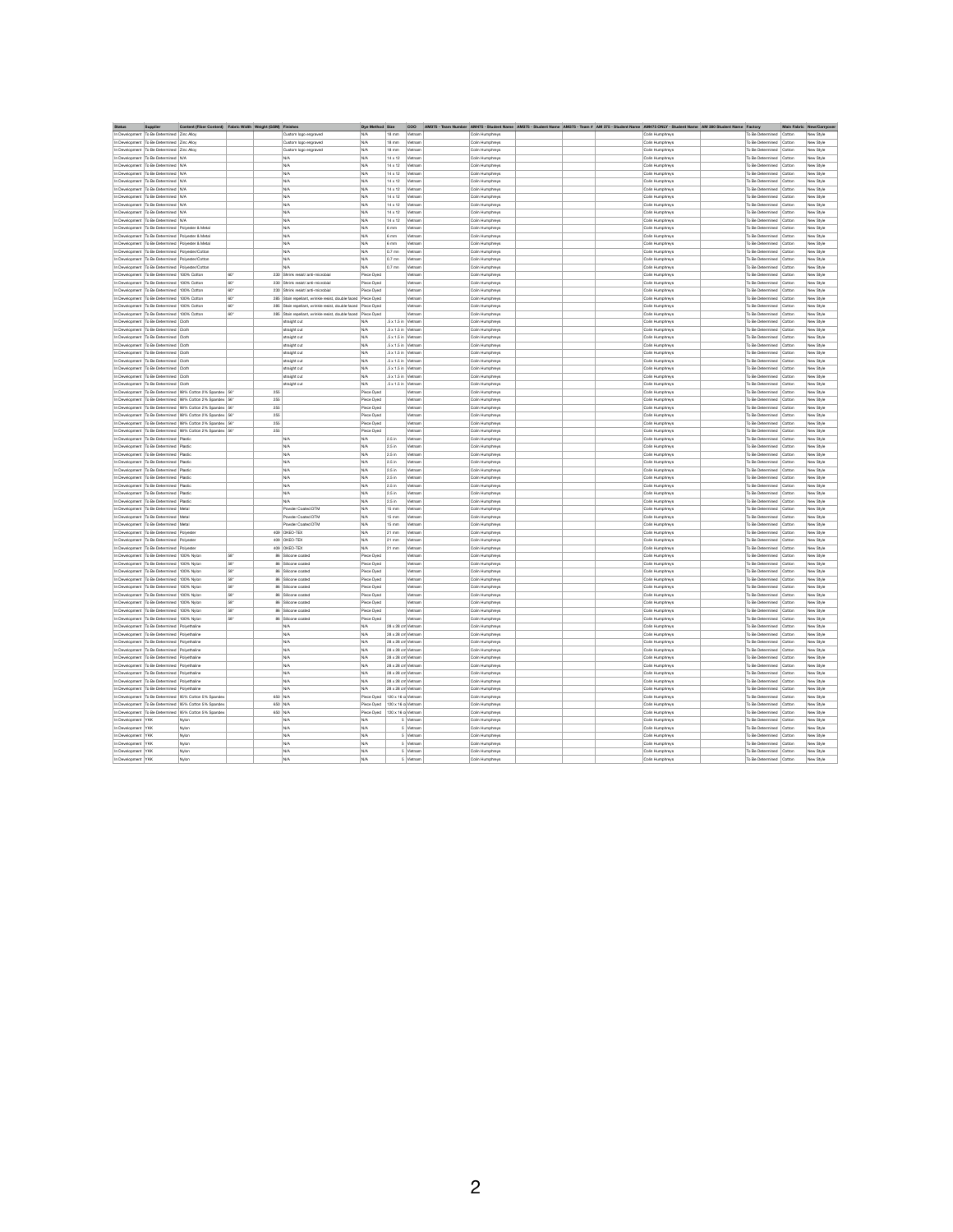| <b>Status</b>        | <b>Supplier</b>                                      | Content (Fiber Content) Fabric Width Weight (GSM) Finishes      |     |                                                                  | <b>Dye Method Size</b> |                            | <b>COO</b> |                 | AM375 - Team Number AM475 - Student Name AM375 - Student Name AM375 - Team # AM 375 - Student Name AM475 ONLY - Student Name AM 380 Student Name Factory |                 |                           |        | Main Fabric New/Carryover |
|----------------------|------------------------------------------------------|-----------------------------------------------------------------|-----|------------------------------------------------------------------|------------------------|----------------------------|------------|-----------------|----------------------------------------------------------------------------------------------------------------------------------------------------------|-----------------|---------------------------|--------|---------------------------|
|                      | In Development   To Be Determined   Zinc Alloy       |                                                                 |     | Custom logo engraved                                             | N/A                    | $18 \text{ mm}$            | Vietnam    | Colin Humphreys |                                                                                                                                                          | Colin Humphreys | To Be Determined          | Cotton | New Style                 |
|                      | In Development   To Be Determined   Zinc Alloy       |                                                                 |     | Custom logo engraved                                             | N/A                    | $18 \text{ mm}$            | Vietnam    | Colin Humphreys |                                                                                                                                                          | Colin Humphreys | To Be Determined          | Cotton | New Style                 |
|                      | In Development   To Be Determined   Zinc Alloy       |                                                                 |     | Custom logo engraved                                             | N/A                    | $18 \text{ mm}$            | Vietnam    | Colin Humphreys |                                                                                                                                                          | Colin Humphreys | To Be Determined   Cotton |        | New Style                 |
|                      | In Development   To Be Determined   N/A              |                                                                 |     | N/A                                                              | N/A                    | $14 \times 12$             | Vietnam    | Colin Humphreys |                                                                                                                                                          | Colin Humphreys | To Be Determined   Cotton |        | New Style                 |
|                      | In Development   To Be Determined   N/A              |                                                                 |     | N/A                                                              | N/A                    | $14 \times 12$             | Vietnam    | Colin Humphreys |                                                                                                                                                          | Colin Humphreys | To Be Determined   Cotton |        | New Style                 |
|                      | In Development   To Be Determined   N/A              |                                                                 |     | N/A                                                              | N/A                    | 14 x 12                    | Vietnam    | Colin Humphreys |                                                                                                                                                          | Colin Humphreys | To Be Determined   Cotton |        | New Style                 |
|                      | In Development   To Be Determined   N/A              |                                                                 |     | N/A                                                              | N/A                    | $14 \times 12$             | Vietnam    | Colin Humphreys |                                                                                                                                                          | Colin Humphreys | To Be Determined   Cotton |        | New Style                 |
|                      | In Development   To Be Determined   N/A              |                                                                 |     | N/A                                                              | N/A                    | $14 \times 12$             | Vietnam    | Colin Humphreys |                                                                                                                                                          | Colin Humphreys | To Be Determined   Cotton |        | New Style                 |
|                      | In Development   To Be Determined   N/A              |                                                                 |     | N/A                                                              | N/A                    | 14 x 12                    | Vietnam    | Colin Humphreys |                                                                                                                                                          | Colin Humphreys | To Be Determined   Cotton |        | New Style                 |
|                      | In Development   To Be Determined   N/A              |                                                                 |     | N/A                                                              | N/A                    | $14 \times 12$             | Vietnam    | Colin Humphreys |                                                                                                                                                          | Colin Humphreys | To Be Determined   Cotton |        | New Style                 |
|                      |                                                      |                                                                 |     |                                                                  |                        |                            |            |                 |                                                                                                                                                          |                 | To Be Determined   Cotton |        |                           |
|                      | In Development   To Be Determined   N/A              |                                                                 |     | N/A                                                              | N/A                    | 14 x 12                    | Vietnam    | Colin Humphreys |                                                                                                                                                          | Colin Humphreys |                           |        | New Style                 |
|                      | In Development   To Be Determined   N/A              |                                                                 |     | N/A                                                              | N/A                    | 14 x 12                    | Vietnam    | Colin Humphreys |                                                                                                                                                          | Colin Humphreys | To Be Determined   Cotton |        | New Style                 |
|                      |                                                      | In Development   To Be Determined   Polyester & Metal           |     | N/A                                                              | N/A                    | $6 \text{ mm}$             | Vietnam    | Colin Humphreys |                                                                                                                                                          | Colin Humphreys | To Be Determined   Cotton |        | New Style                 |
|                      |                                                      | In Development   To Be Determined   Polyester & Metal           |     | N/A                                                              | N/A                    | $6 \text{ mm}$             | Vietnam    | Colin Humphreys |                                                                                                                                                          | Colin Humphreys | To Be Determined   Cotton |        | New Style                 |
|                      |                                                      | In Development   To Be Determined   Polyester & Metal           |     | N/A                                                              | N/A                    | $6 \text{ mm}$             | Vietnam    | Colin Humphreys |                                                                                                                                                          | Colin Humphreys | To Be Determined   Cotton |        | New Style                 |
|                      | In Development   To Be Determined   Polyester/Cotton |                                                                 |     | N/A                                                              | N/A                    | 0.7 mn                     | Vietnam    | Colin Humphreys |                                                                                                                                                          | Colin Humphreys | To Be Determined   Cotton |        | New Style                 |
|                      | In Development   To Be Determined   Polyester/Cotton |                                                                 |     | N/A                                                              | N/A                    | 0.7 mn                     | Vietnam    | Colin Humphreys |                                                                                                                                                          | Colin Humphreys | To Be Determined   Cotton |        | New Style                 |
|                      | In Development   To Be Determined   Polyester/Cotton |                                                                 |     | N/A                                                              | N/A                    | $0.7$ mn                   | Vietnam    | Colin Humphreys |                                                                                                                                                          | Colin Humphreys | To Be Determined   Cotton |        | New Style                 |
|                      | In Development   To Be Determined   100% Cotton      |                                                                 | 60" | 230 Shrink resist/ anti-microbial                                | Piece Dyed             |                            | Vietnam    | Colin Humphreys |                                                                                                                                                          | Colin Humphreys | To Be Determined   Cotton |        | New Style                 |
|                      | In Development   To Be Determined   100% Cotton      |                                                                 | 60" | 230 Shrink resist/ anti-microbial                                | Piece Dyed             |                            | Vietnam    | Colin Humphreys |                                                                                                                                                          | Colin Humphreys | To Be Determined   Cotton |        | New Style                 |
|                      | In Development   To Be Determined   100% Cotton      |                                                                 | 60" | 230 Shrink resist/ anti-microbial                                | Piece Dyed             |                            | Vietnam    | Colin Humphreys |                                                                                                                                                          | Colin Humphreys | To Be Determined          | Cotton | New Style                 |
|                      | In Development   To Be Determined   100% Cotton      |                                                                 | 60" | 285   Stain repellant, wrinkle resist, double faced   Piece Dyed |                        |                            | Vietnam    | Colin Humphreys |                                                                                                                                                          | Colin Humphreys | To Be Determined Cotton   |        | New Style                 |
|                      | In Development   To Be Determined   100% Cotton      |                                                                 | 60" | 285 Stain repellant, wrinkle resist, double faced Piece Dyed     |                        |                            | Vietnam    | Colin Humphreys |                                                                                                                                                          | Colin Humphreys | To Be Determined   Cotton |        | New Style                 |
|                      | In Development   To Be Determined   100% Cotton      |                                                                 | 60" | 285   Stain repellant, wrinkle resist, double faced   Piece Dyed |                        |                            | Vietnam    | Colin Humphreys |                                                                                                                                                          | Colin Humphreys | To Be Determined   Cotton |        | New Style                 |
|                      | In Development   To Be Determined   Cloth            |                                                                 |     | straight cut                                                     | N/A                    | $.5 \times 1.5$ in Vietnam |            | Colin Humphreys |                                                                                                                                                          | Colin Humphreys | To Be Determined   Cotton |        | New Style                 |
|                      | In Development   To Be Determined   Cloth            |                                                                 |     | straight cut                                                     | N/A                    | $.5 \times 1.5$ in Vietnam |            | Colin Humphreys |                                                                                                                                                          | Colin Humphreys | To Be Determined   Cotton |        | New Style                 |
|                      | In Development   To Be Determined   Cloth            |                                                                 |     | straight cut                                                     | N/A                    | $.5 \times 1.5$ in Vietnam |            | Colin Humphreys |                                                                                                                                                          | Colin Humphreys | To Be Determined   Cotton |        | New Style                 |
|                      | In Development   To Be Determined   Cloth            |                                                                 |     | straight cut                                                     | N/A                    | $.5 \times 1.5$ in Vietnam |            | Colin Humphreys |                                                                                                                                                          | Colin Humphreys | To Be Determined   Cotton |        | New Style                 |
|                      | In Development   To Be Determined   Cloth            |                                                                 |     | straight cut                                                     | N/A                    | $.5 \times 1.5$ in Vietnam |            | Colin Humphreys |                                                                                                                                                          | Colin Humphreys | To Be Determined   Cotton |        | New Style                 |
|                      | In Development   To Be Determined   Cloth            |                                                                 |     | straight cut                                                     | N/A                    | $.5 \times 1.5$ in Vietnam |            | Colin Humphreys |                                                                                                                                                          | Colin Humphreys | To Be Determined   Cotton |        | New Style                 |
|                      | In Development   To Be Determined   Cloth            |                                                                 |     | straight cut                                                     | N/A                    | $.5 \times 1.5$ in Vietnam |            | Colin Humphreys |                                                                                                                                                          | Colin Humphreys | To Be Determined   Cotton |        | New Style                 |
|                      | In Development   To Be Determined   Cloth            |                                                                 |     | straight cut                                                     | N/A                    | $.5 \times 1.5$ in Vietnam |            | Colin Humphreys |                                                                                                                                                          | Colin Humphreys | To Be Determined   Cotton |        | New Style                 |
|                      | In Development   To Be Determined   Cloth            |                                                                 |     | straight cut                                                     | N/A                    | $.5 \times 1.5$ in Vietnam |            | Colin Humphreys |                                                                                                                                                          | Colin Humphreys | To Be Determined   Cotton |        | New Style                 |
|                      |                                                      | In Development   To Be Determined   98% Cotton 2% Spandex   56" |     | 255                                                              | Piece Dyed             |                            | Vietnam    | Colin Humphreys |                                                                                                                                                          | Colin Humphreys | To Be Determined   Cotton |        | New Style                 |
|                      |                                                      | In Development   To Be Determined   98% Cotton 2% Spandex   56" |     | 255                                                              | Piece Dyed             |                            | Vietnam    | Colin Humphreys |                                                                                                                                                          | Colin Humphreys | To Be Determined   Cotton |        | New Style                 |
|                      |                                                      | In Development   To Be Determined   98% Cotton 2% Spandex   56" |     | 255                                                              | Piece Dyed             |                            | Vietnam    | Colin Humphreys |                                                                                                                                                          | Colin Humphreys | To Be Determined   Cotton |        | New Style                 |
|                      |                                                      |                                                                 |     | 255                                                              |                        |                            | Vietnam    |                 |                                                                                                                                                          |                 |                           |        | New Style                 |
|                      |                                                      | In Development   To Be Determined   98% Cotton 2% Spandex   56" |     |                                                                  | Piece Dyed             |                            |            | Colin Humphreys |                                                                                                                                                          | Colin Humphreys | To Be Determined   Cotton |        |                           |
|                      |                                                      | In Development   To Be Determined   98% Cotton 2% Spandex   56" |     | 255                                                              | Piece Dyed             |                            | Vietnam    | Colin Humphreys |                                                                                                                                                          | Colin Humphreys | To Be Determined   Cotton |        | New Style                 |
|                      |                                                      | In Development   To Be Determined   98% Cotton 2% Spandex   56" |     | 255                                                              | Piece Dyed             |                            | Vietnam    | Colin Humphreys |                                                                                                                                                          | Colin Humphreys | To Be Determined   Cotton |        | New Style                 |
|                      | In Development   To Be Determined   Plastic          |                                                                 |     | N/A                                                              | N/A                    | $2.5$ in                   | Vietnam    | Colin Humphreys |                                                                                                                                                          | Colin Humphreys | To Be Determined   Cotton |        | New Style                 |
|                      | In Development   To Be Determined   Plastic          |                                                                 |     | N/A                                                              | N/A                    | $2.5$ in                   | Vietnam    | Colin Humphreys |                                                                                                                                                          | Colin Humphreys | To Be Determined   Cotton |        | New Style                 |
|                      | In Development   To Be Determined   Plastic          |                                                                 |     | N/A                                                              | N/A                    | $2.5$ in                   | Vietnam    | Colin Humphreys |                                                                                                                                                          | Colin Humphreys | To Be Determined   Cotton |        | New Style                 |
|                      | In Development   To Be Determined   Plastic          |                                                                 |     | N/A                                                              | N/A                    | $2.5$ in                   | Vietnam    | Colin Humphreys |                                                                                                                                                          | Colin Humphreys | To Be Determined   Cotton |        | New Style                 |
|                      | In Development   To Be Determined   Plastic          |                                                                 |     | N/A                                                              | N/A                    | 2.5 in                     | Vietnam    | Colin Humphreys |                                                                                                                                                          | Colin Humphreys | To Be Determined   Cotton |        | New Style                 |
|                      | In Development   To Be Determined   Plastic          |                                                                 |     | N/A                                                              | N/A                    | $2.5$ in                   | Vietnam    | Colin Humphreys |                                                                                                                                                          | Colin Humphreys | To Be Determined   Cotton |        | New Style                 |
|                      | In Development   To Be Determined   Plastic          |                                                                 |     | N/A                                                              | N/A                    | $2.5$ in                   | Vietnam    | Colin Humphreys |                                                                                                                                                          | Colin Humphreys | To Be Determined   Cotton |        | New Style                 |
|                      | In Development   To Be Determined   Plastic          |                                                                 |     | N/A                                                              | N/A                    | $\vert$ 2.5 in             | Vietnam    | Colin Humphreys |                                                                                                                                                          | Colin Humphreys | To Be Determined   Cotton |        | New Style                 |
|                      | In Development   To Be Determined   Plastic          |                                                                 |     | N/A                                                              | N/A                    | 2.5 in                     | Vietnam    | Colin Humphreys |                                                                                                                                                          | Colin Humphreys | To Be Determined   Cotton |        | New Style                 |
|                      | In Development   To Be Determined   Metal            |                                                                 |     | <b>Powder Coated DTM</b>                                         | N/A                    | $15 \text{ mm}$            | Vietnam    | Colin Humphreys |                                                                                                                                                          | Colin Humphreys | To Be Determined   Cotton |        | New Style                 |
|                      | In Development   To Be Determined   Metal            |                                                                 |     | <b>Powder Coated DTM</b>                                         | N/A                    | $15 \text{ mm}$            | Vietnam    | Colin Humphreys |                                                                                                                                                          | Colin Humphreys | To Be Determined   Cotton |        | New Style                 |
|                      | In Development   To Be Determined   Metal            |                                                                 |     | Powder Coated DTM                                                | N/A                    | $15 \text{ mm}$            | Vietnam    | Colin Humphreys |                                                                                                                                                          | Colin Humphreys | To Be Determined   Cotton |        | New Style                 |
|                      | In Development   To Be Determined   Polyester        |                                                                 |     | 409   OKEO-TEX                                                   | N/A                    | 21 mm                      | Vietnam    | Colin Humphreys |                                                                                                                                                          | Colin Humphreys | To Be Determined   Cotton |        | New Style                 |
|                      | In Development   To Be Determined   Polyester        |                                                                 |     | 409 OKEO-TEX                                                     | N/A                    | 21 mm                      | Vietnam    | Colin Humphreys |                                                                                                                                                          | Colin Humphreys | To Be Determined   Cotton |        | New Style                 |
|                      | In Development   To Be Determined   Polyester        |                                                                 |     | 409 OKEO-TEX                                                     | N/A                    | 21 mm                      | Vietnam    | Colin Humphreys |                                                                                                                                                          | Colin Humphreys | To Be Determined   Cotton |        | New Style                 |
|                      | In Development   To Be Determined   100% Nylon       |                                                                 | 58" | 86 Silicone coated                                               | Piece Dyed             |                            | Vietnam    | Colin Humphreys |                                                                                                                                                          | Colin Humphreys | To Be Determined   Cotton |        | New Style                 |
|                      | In Development   To Be Determined   100% Nylon       |                                                                 | 58" | 86 Silicone coated                                               | Piece Dyed             |                            | Vietnam    | Colin Humphreys |                                                                                                                                                          | Colin Humphreys | To Be Determined   Cotton |        | New Style                 |
|                      | In Development   To Be Determined   100% Nylon       |                                                                 | 58" | 86 Silicone coated                                               | Piece Dyed             |                            | Vietnam    | Colin Humphreys |                                                                                                                                                          | Colin Humphreys | To Be Determined   Cotton |        | New Style                 |
|                      | In Development   To Be Determined   100% Nylon       |                                                                 | 58" | 86 Silicone coated                                               | Piece Dyed             |                            | Vietnam    | Colin Humphreys |                                                                                                                                                          | Colin Humphreys | To Be Determined   Cotton |        | New Style                 |
|                      | In Development   To Be Determined   100% Nylon       |                                                                 | 58" | 86 Silicone coated                                               | Piece Dyed             |                            | Vietnam    | Colin Humphreys |                                                                                                                                                          | Colin Humphreys | To Be Determined   Cotton |        | New Style                 |
|                      | In Development   To Be Determined   100% Nylon       |                                                                 | 58" | 86 Silicone coated                                               | Piece Dyed             |                            | Vietnam    | Colin Humphreys |                                                                                                                                                          | Colin Humphreys | To Be Determined   Cotton |        | New Style                 |
|                      | In Development   To Be Determined   100% Nylon       |                                                                 | 58" | 86 Silicone coated                                               | Piece Dyed             |                            | Vietnam    | Colin Humphreys |                                                                                                                                                          | Colin Humphreys | To Be Determined   Cotton |        | New Style                 |
|                      | In Development   To Be Determined   100% Nylon       |                                                                 | 58" | 86 Silicone coated                                               | Piece Dyed             |                            | Vietnam    | Colin Humphreys |                                                                                                                                                          | Colin Humphreys | To Be Determined   Cotton |        | New Style                 |
|                      | In Development   To Be Determined   100% Nylon       |                                                                 | 58" | 86 Silicone coated                                               | Piece Dyed             |                            | Vietnam    | Colin Humphreys |                                                                                                                                                          | Colin Humphreys | To Be Determined   Cotton |        | New Style                 |
|                      | In Development   To Be Determined   Polyethaline     |                                                                 |     | N/A                                                              | N/A                    | 28 x 28 cm Vietnam         |            | Colin Humphreys |                                                                                                                                                          | Colin Humphreys | To Be Determined   Cotton |        | New Style                 |
|                      | In Development   To Be Determined   Polyethaline     |                                                                 |     | N/A                                                              | N/A                    | 28 x 28 cm Vietnam         |            | Colin Humphreys |                                                                                                                                                          | Colin Humphreys | To Be Determined   Cotton |        | New Style                 |
|                      |                                                      |                                                                 |     |                                                                  |                        |                            |            |                 |                                                                                                                                                          |                 |                           |        |                           |
|                      | In Development   To Be Determined   Polyethaline     |                                                                 |     | N/A                                                              | N/A                    | 28 x 28 cm Vietnam         |            | Colin Humphreys |                                                                                                                                                          | Colin Humphreys | To Be Determined   Cotton |        | New Style                 |
|                      | In Development   To Be Determined   Polyethaline     |                                                                 |     | N/A                                                              | N/A                    | 28 x 28 cm Vietnam         |            | Colin Humphreys |                                                                                                                                                          | Colin Humphreys | To Be Determined   Cotton |        | New Style                 |
|                      | In Development   To Be Determined   Polyethaline     |                                                                 |     | N/A                                                              | N/A                    | 28 x 28 cm Vietnam         |            | Colin Humphreys |                                                                                                                                                          | Colin Humphreys | To Be Determined   Cotton |        | New Style                 |
|                      | In Development   To Be Determined   Polyethaline     |                                                                 |     | N/A                                                              | N/A                    | 28 x 28 cm Vietnam         |            | Colin Humphreys |                                                                                                                                                          | Colin Humphreys | To Be Determined   Cotton |        | New Style                 |
|                      | In Development   To Be Determined   Polyethaline     |                                                                 |     | N/A                                                              | N/A                    | 28 x 28 cm Vietnam         |            | Colin Humphreys |                                                                                                                                                          | Colin Humphreys | To Be Determined   Cotton |        | New Style                 |
|                      | In Development   To Be Determined   Polyethaline     |                                                                 |     | N/A                                                              | N/A                    | 28 x 28 cm Vietnam         |            | Colin Humphreys |                                                                                                                                                          | Colin Humphreys | To Be Determined   Cotton |        | New Style                 |
|                      | In Development   To Be Determined   Polyethaline     |                                                                 |     | N/A                                                              | N/A                    | 28 x 28 cm Vietnam         |            | Colin Humphreys |                                                                                                                                                          | Colin Humphreys | To Be Determined   Cotton |        | New Style                 |
|                      |                                                      | In Development   To Be Determined   95% Cotton 5% Spandex       |     | 650 N/A                                                          | Piece Dyed             | 120 x 16 c Vietnam         |            | Colin Humphreys |                                                                                                                                                          | Colin Humphreys | To Be Determined   Cotton |        | New Style                 |
|                      |                                                      | In Development   To Be Determined   95% Cotton 5% Spandex       |     | 650 N/A                                                          | Piece Dyed             | 120 x 16 c Vietnam         |            | Colin Humphreys |                                                                                                                                                          | Colin Humphreys | To Be Determined   Cotton |        | New Style                 |
|                      |                                                      | In Development   To Be Determined   95% Cotton 5% Spandex       |     | 650 N/A                                                          | Piece Dyed             | 120 x 16 c Vietnam         |            | Colin Humphreys |                                                                                                                                                          | Colin Humphreys | To Be Determined   Cotton |        | New Style                 |
| In Development   YKK |                                                      | Nylon                                                           |     | N/A                                                              | N/A                    |                            | 5 Vietnam  | Colin Humphreys |                                                                                                                                                          | Colin Humphreys | To Be Determined   Cotton |        | New Style                 |
| In Development   YKK |                                                      | Nylon                                                           |     | N/A                                                              | N/A                    |                            | 5 Vietnam  | Colin Humphreys |                                                                                                                                                          | Colin Humphreys | To Be Determined   Cotton |        | New Style                 |
| In Development   YKK |                                                      | Nylon                                                           |     | N/A                                                              | N/A                    |                            | 5 Vietnam  | Colin Humphreys |                                                                                                                                                          | Colin Humphreys | To Be Determined   Cotton |        | New Style                 |
| In Development   YKK |                                                      | Nylon                                                           |     | N/A                                                              | N/A                    |                            | 5 Vietnam  | Colin Humphreys |                                                                                                                                                          | Colin Humphreys | To Be Determined   Cotton |        | New Style                 |
| In Development   YKK |                                                      | Nylon                                                           |     | N/A                                                              | N/A                    |                            | 5 Vietnam  | Colin Humphreys |                                                                                                                                                          | Colin Humphreys | To Be Determined   Cotton |        | New Style                 |
| In Development   YKK |                                                      | Nylon                                                           |     | N/A                                                              | N/A                    |                            | 5 Vietnam  | Colin Humphreys |                                                                                                                                                          | Colin Humphreys | To Be Determined   Cotton |        | New Style                 |

2